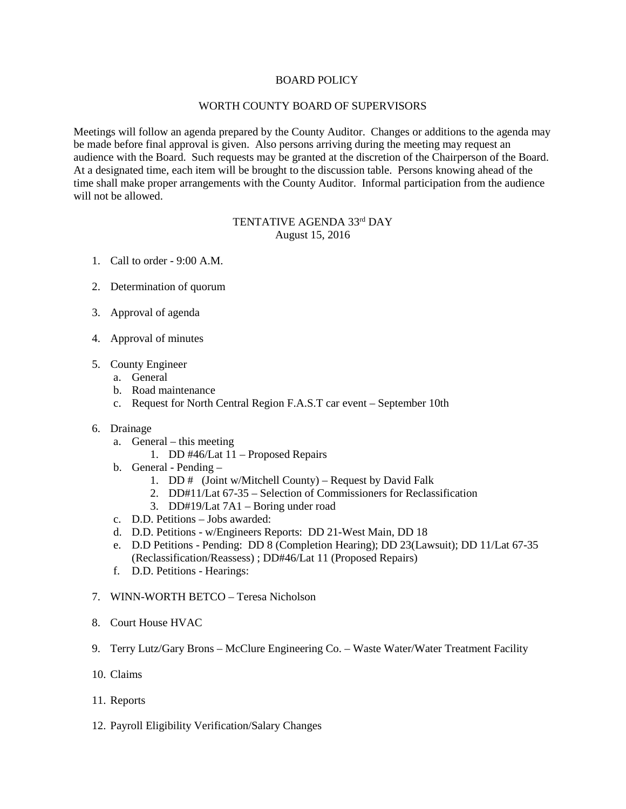## BOARD POLICY

## WORTH COUNTY BOARD OF SUPERVISORS

Meetings will follow an agenda prepared by the County Auditor. Changes or additions to the agenda may be made before final approval is given. Also persons arriving during the meeting may request an audience with the Board. Such requests may be granted at the discretion of the Chairperson of the Board. At a designated time, each item will be brought to the discussion table. Persons knowing ahead of the time shall make proper arrangements with the County Auditor. Informal participation from the audience will not be allowed.

## TENTATIVE AGENDA 33rd DAY August 15, 2016

- 1. Call to order 9:00 A.M.
- 2. Determination of quorum
- 3. Approval of agenda
- 4. Approval of minutes
- 5. County Engineer
	- a. General
	- b. Road maintenance
	- c. Request for North Central Region F.A.S.T car event September 10th
- 6. Drainage
	- a. General this meeting
		- 1. DD #46/Lat 11 Proposed Repairs
	- b. General Pending
		- 1. DD # (Joint w/Mitchell County) Request by David Falk
		- 2. DD#11/Lat 67-35 Selection of Commissioners for Reclassification
		- 3. DD#19/Lat 7A1 Boring under road
	- c. D.D. Petitions Jobs awarded:
	- d. D.D. Petitions w/Engineers Reports: DD 21-West Main, DD 18
	- e. D.D Petitions Pending: DD 8 (Completion Hearing); DD 23(Lawsuit); DD 11/Lat 67-35 (Reclassification/Reassess) ; DD#46/Lat 11 (Proposed Repairs)
	- f. D.D. Petitions Hearings:
- 7. WINN-WORTH BETCO Teresa Nicholson
- 8. Court House HVAC
- 9. Terry Lutz/Gary Brons McClure Engineering Co. Waste Water/Water Treatment Facility
- 10. Claims
- 11. Reports
- 12. Payroll Eligibility Verification/Salary Changes